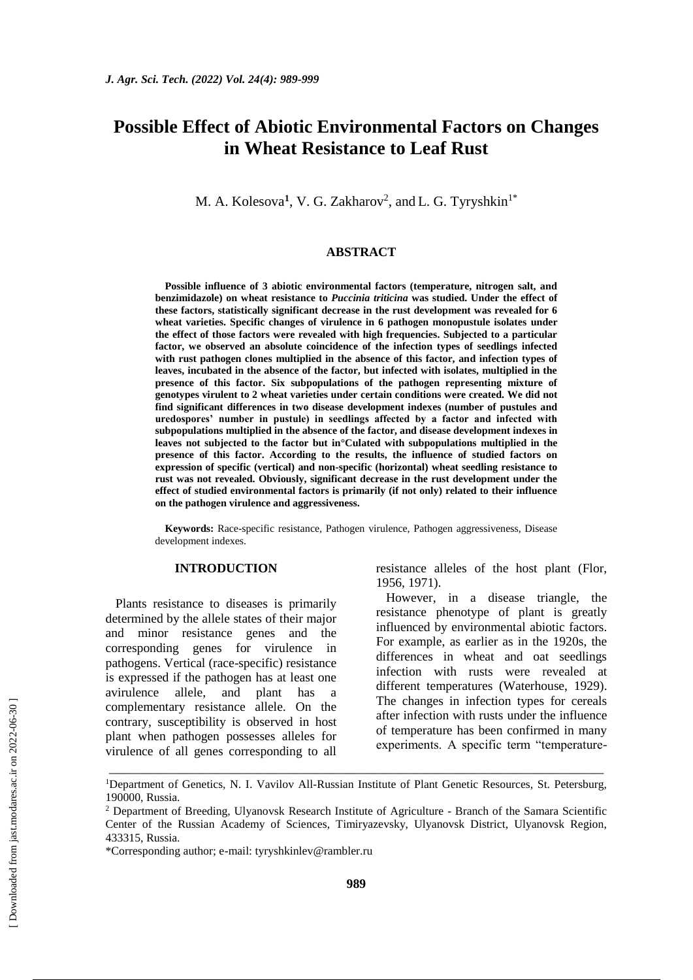# **Possible Effect of Abiotic Environmental Factors on Changes in Wheat Resistance to Leaf Rust**

M. A. Kolesova<sup>1</sup>, V. G. Zakharov<sup>2</sup>, and L. G. Tyryshkin<sup>1\*</sup>

#### **ABSTRACT**

**Possible influence of 3 abiotic environmental factors (temperature, nitrogen salt, and benzimidazole) on wheat resistance to** *Puccinia triticina* **was studied. Under the effect of these factors, statistically significant decrease in the rust development was revealed for 6 wheat varieties. Specific changes of virulence in 6 pathogen monopustule isolates under the effect of those factors were revealed with high frequencies. Subjected to a particular factor, we observed an absolute coincidence of the infection types of seedlings infected with rust pathogen clones multiplied in the absence of this factor, and infection types of leaves, incubated in the absence of the factor, but infected with isolates, multiplied in the presence of this factor. Six subpopulations of the pathogen representing mixture of genotypes virulent to 2 wheat varieties under certain conditions were created. We did not find significant differences in two disease development indexes (number of pustules and uredospores' number in pustule) in seedlings affected by a factor and infected with subpopulations multiplied in the absence of the factor, and disease development indexes in leaves not subjected to the factor but in°Culated with subpopulations multiplied in the presence of this factor. According to the results, the influence of studied factors on expression of specific (vertical) and non-specific (horizontal) wheat seedling resistance to rust was not revealed. Obviously, significant decrease in the rust development under the effect of studied environmental factors is primarily (if not only) related to their influence on the pathogen virulence and aggressiveness.**

**Keywords:** Race-specific resistance, Pathogen virulence, Pathogen aggressiveness, Disease development indexes.

## **INTRODUCTION**

Plants resistance to diseases is primarily determined by the allele states of their major and minor resistance genes and the corresponding genes for virulence in pathogens. Vertical (race-specific) resistance is expressed if the pathogen has at least one avirulence allele, and plant has a complementary resistance allele. On the contrary, susceptibility is observed in host plant when pathogen possesses alleles for virulence of all genes corresponding to all resistance alleles of the host plant (Flor, 1956, 1971).

However, in a disease triangle, the resistance phenotype of plant is greatly influenced by environmental abiotic factors. For example, as earlier as in the 1920s, the differences in wheat and oat seedlings infection with rusts were revealed at different temperatures (Waterhouse, 1929). The changes in infection types for cereals after infection with rusts under the influence of temperature has been confirmed in many experiments. A specific term "temperature-

\_\_\_\_\_\_\_\_\_\_\_\_\_\_\_\_\_\_\_\_\_\_\_\_\_\_\_\_\_\_\_\_\_\_\_\_\_\_\_\_\_\_\_\_\_\_\_\_\_\_\_\_\_\_\_\_\_\_\_\_\_\_\_\_\_\_\_\_\_\_\_\_\_\_\_\_\_ <sup>1</sup>Department of Genetics, N. I. Vavilov All-Russian Institute of Plant Genetic Resources, St. Petersburg, 190000, Russia.

<sup>&</sup>lt;sup>2</sup> Department of Breeding, Ulyanovsk Research Institute of Agriculture - Branch of the Samara Scientific Center of the Russian Academy of Sciences, Timiryazevsky, Ulyanovsk District, Ulyanovsk Region, 433315, Russia.

<sup>\*</sup>Corresponding author; e-mail: tyryshkinlev@rambler.ru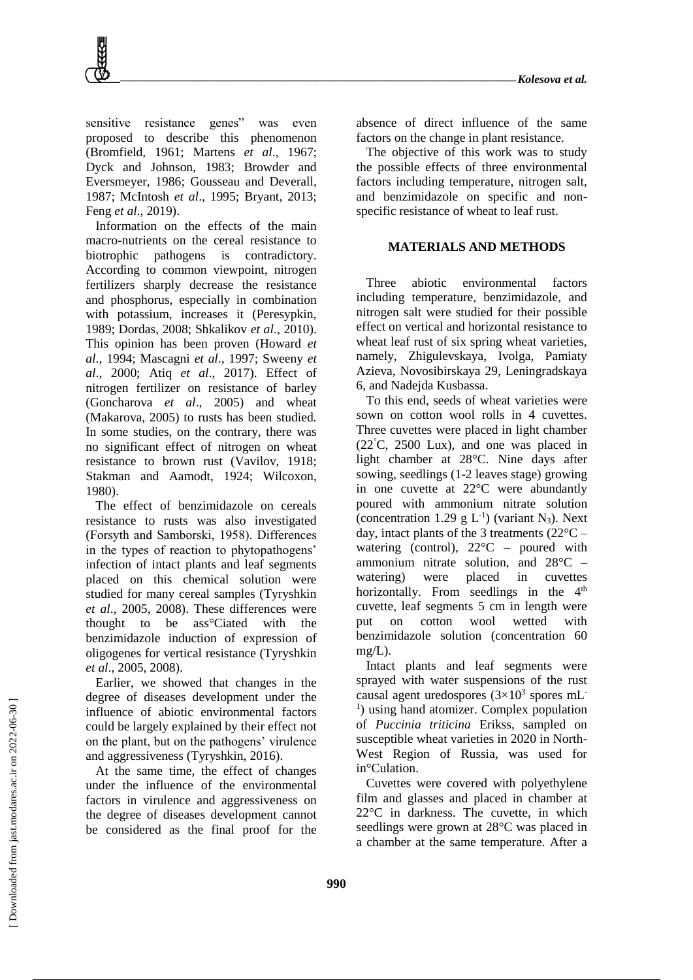sensitive resistance genes" was even proposed to describe this phenomenon (Bromfield, 1961; Martens *et al*., 1967; Dyck and Johnson, 1983; Browder and Eversmeyer, 1986; Gousseau and Deverall, 1987; McIntosh *et al*., 1995; Bryant, 2013; Feng *et al*., 2019).

Information on the effects of the main macro-nutrients on the cereal resistance to biotrophic pathogens is contradictory. According to common viewpoint, nitrogen fertilizers sharply decrease the resistance and phosphorus, especially in combination with potassium, increases it (Peresypkin, 1989; Dordas, 2008; Shkalikov *et al*., 2010). This opinion has been proven (Howard *et al*., 1994; Mascagni *et al*., 1997; Sweeny *et al*., 2000; Atiq *et al*., 2017). Effect of nitrogen fertilizer on resistance of barley (Goncharova *et al*., 2005) and wheat (Makarova, 2005) to rusts has been studied. In some studies, on the contrary, there was no significant effect of nitrogen on wheat resistance to brown rust (Vavilov, 1918; Stakman and Aamodt, 1924; Wilcoxon, 1980).

The effect of benzimidazole on cereals resistance to rusts was also investigated (Forsуth and Samborski, 1958). Differences in the types of reaction to phytopathogens' infection of intact plants and leaf segments placed on this chemical solution were studied for many cereal samples (Tyryshkin *et al*., 2005, 2008). These differences were thought to be ass°Ciated with the benzimidazole induction of expression of oligogenes for vertical resistance (Tyryshkin *et al*., 2005, 2008).

Earlier, we showed that changes in the degree of diseases development under the influence of abiotic environmental factors could be largely explained by their effect not on the plant, but on the pathogens' virulence and aggressiveness (Tyryshkin, 2016).

At the same time, the effect of changes under the influence of the environmental factors in virulence and aggressiveness on the degree of diseases development cannot be considered as the final proof for the

absence of direct influence of the same factors on the change in plant resistance.

The objective of this work was to study the possible effects of three environmental factors including temperature, nitrogen salt, and benzimidazole on specific and nonspecific resistance of wheat to leaf rust.

### **MATERIALS AND METHODS**

Three abiotic environmental factors including temperature, benzimidazole, and nitrogen salt were studied for their possible effect on vertical and horizontal resistance to wheat leaf rust of six spring wheat varieties, namely, Zhigulevskaya, Ivolga, Pamiaty Azieva, Novosibirskaya 29, Leningradskaya 6, and Nadejda Kusbassa.

To this end, seeds of wheat varieties were sown on cotton wool rolls in 4 cuvettes. Three cuvettes were placed in light chamber (22°C, 2500 Lux), and one was placed in light chamber at 28°C. Nine days after sowing, seedlings (1-2 leaves stage) growing in one cuvette at 22°C were abundantly poured with ammonium nitrate solution (concentration 1.29  $g L^{-1}$ ) (variant N<sub>3</sub>). Next day, intact plants of the 3 treatments (22°C – watering (control),  $22^{\circ}$ C – poured with ammonium nitrate solution, and 28°C – watering) were placed in cuvettes horizontally. From seedlings in the  $4<sup>th</sup>$ cuvette, leaf segments 5 cm in length were put on cotton wool wetted with benzimidazole solution (concentration 60  $mg/L$ ).

Intact plants and leaf segments were sprayed with water suspensions of the rust causal agent uredospores  $(3\times10^3$  spores mL<sup>-</sup> <sup>1</sup>) using hand atomizer. Complex population of *Puccinia triticina* Erikss, sampled on susceptible wheat varieties in 2020 in North-West Region of Russia, was used for in°Culation.

Cuvettes were covered with polyethylene film and glasses and placed in chamber at 22°C in darkness. The cuvette, in which seedlings were grown at 28°C was placed in a chamber at the same temperature. After a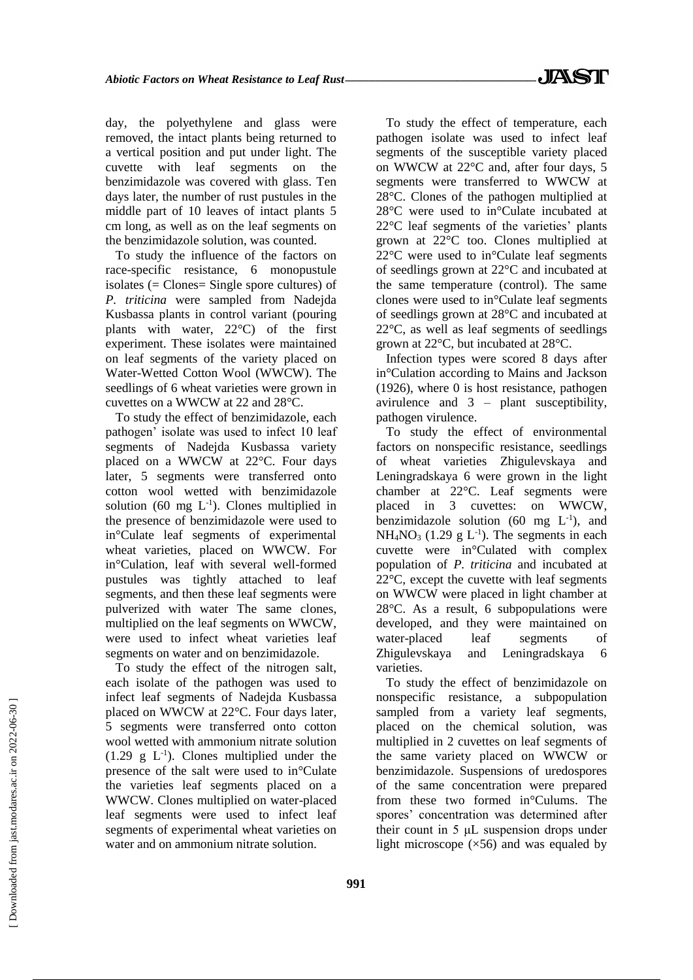day, the polyethylene and glass were removed, the intact plants being returned to a vertical position and put under light. The cuvette with leaf segments on the benzimidazole was covered with glass. Ten days later, the number of rust pustules in the middle part of 10 leaves of intact plants 5 cm long, as well as on the leaf segments on the benzimidazole solution, was counted.

To study the influence of the factors on race-specific resistance, 6 monopustule isolates (= Clones= Single spore cultures) of *P. triticina* were sampled from Nadejda Kusbassa plants in control variant (pouring plants with water, 22°C) of the first experiment. These isolates were maintained on leaf segments of the variety placed on Water-Wetted Cotton Wool (WWCW). The seedlings of 6 wheat varieties were grown in cuvettes on a WWCW at 22 and 28°C.

To study the effect of benzimidazole, each pathogen' isolate was used to infect 10 leaf segments of Nadejda Kusbassa variety placed on a WWCW at 22°C. Four days later, 5 segments were transferred onto cotton wool wetted with benzimidazole solution (60 mg  $L^{-1}$ ). Clones multiplied in the presence of benzimidazole were used to in°Culate leaf segments of experimental wheat varieties, placed on WWCW. For in°Culation, leaf with several well-formed pustules was tightly attached to leaf segments, and then these leaf segments were pulverized with water The same clones, multiplied on the leaf segments on WWCW, were used to infect wheat varieties leaf segments on water and on benzimidazole.

To study the effect of the nitrogen salt, each isolate of the pathogen was used to infect leaf segments of Nadejda Kusbassa placed on WWCW at 22°C. Four days later, 5 segments were transferred onto cotton wool wetted with ammonium nitrate solution  $(1.29 \text{ g } L^{-1})$ . Clones multiplied under the presence of the salt were used to in°Culate the varieties leaf segments placed on a WWCW. Clones multiplied on water-placed leaf segments were used to infect leaf segments of experimental wheat varieties on water and on ammonium nitrate solution.

To study the effect of temperature, each pathogen isolate was used to infect leaf segments of the susceptible variety placed on WWCW at 22°C and, after four days, 5 segments were transferred to WWCW at 28°C. Clones of the pathogen multiplied at 28°C were used to in°Culate incubated at 22°C leaf segments of the varieties' plants grown at 22°C too. Clones multiplied at 22°C were used to in°Culate leaf segments of seedlings grown at 22°C and incubated at the same temperature (control). The same clones were used to in°Culate leaf segments of seedlings grown at 28°C and incubated at 22°C, as well as leaf segments of seedlings grown at 22°C, but incubated at 28°C.

Infection types were scored 8 days after in°Culation according to Mains and Jackson (1926), where 0 is host resistance, pathogen avirulence and 3 – plant susceptibility, pathogen virulence.

To study the effect of environmental factors on nonspecific resistance, seedlings of wheat varieties Zhigulevskaya and Leningradskaya 6 were grown in the light chamber at 22°C. Leaf segments were placed in 3 cuvettes: on WWCW, benzimidazole solution (60 mg  $L^{-1}$ ), and  $NH<sub>4</sub>NO<sub>3</sub>$  (1.29 g L<sup>-1</sup>). The segments in each cuvette were in°Culated with complex population of *P. triticina* and incubated at 22°C, except the cuvette with leaf segments on WWCW were placed in light chamber at 28°C. As a result, 6 subpopulations were developed, and they were maintained on water-placed leaf segments of Zhigulevskaya and Leningradskaya 6 varieties.

To study the effect of benzimidazole on nonspecific resistance, a subpopulation sampled from a variety leaf segments, placed on the chemical solution, was multiplied in 2 cuvettes on leaf segments of the same variety placed on WWCW or benzimidazole. Suspensions of uredospores of the same concentration were prepared from these two formed in°Culums. The spores' concentration was determined after their count in 5 μL suspension drops under light microscope  $(x56)$  and was equaled by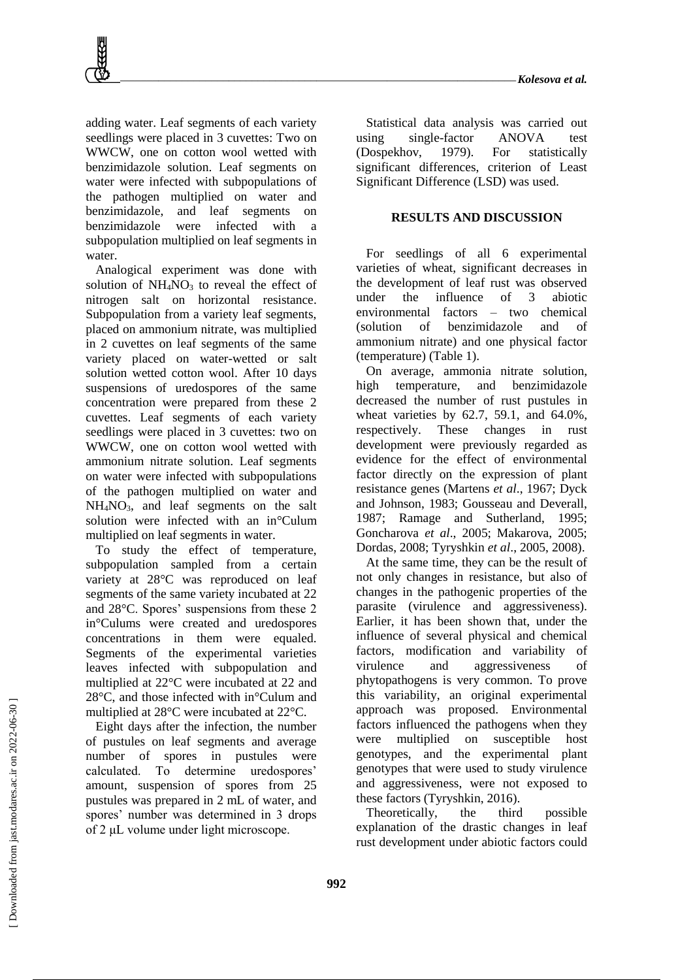adding water. Leaf segments of each variety seedlings were placed in 3 cuvettes: Two on WWCW, one on cotton wool wetted with benzimidazole solution. Leaf segments on water were infected with subpopulations of the pathogen multiplied on water and benzimidazole, and leaf segments on benzimidazole were infected with a subpopulation multiplied on leaf segments in water.

Analogical experiment was done with solution of  $NH<sub>4</sub>NO<sub>3</sub>$  to reveal the effect of nitrogen salt on horizontal resistance. Subpopulation from a variety leaf segments, placed on ammonium nitrate, was multiplied in 2 cuvettes on leaf segments of the same variety placed on water-wetted or salt solution wetted cotton wool. After 10 days suspensions of uredospores of the same concentration were prepared from these 2 cuvettes. Leaf segments of each variety seedlings were placed in 3 cuvettes: two on WWCW, one on cotton wool wetted with ammonium nitrate solution. Leaf segments on water were infected with subpopulations of the pathogen multiplied on water and  $NH<sub>4</sub>NO<sub>3</sub>$ , and leaf segments on the salt solution were infected with an in°Culum multiplied on leaf segments in water.

To study the effect of temperature, subpopulation sampled from a certain variety at 28°C was reproduced on leaf segments of the same variety incubated at 22 and 28°C. Spores' suspensions from these 2 in°Culums were created and uredospores concentrations in them were equaled. Segments of the experimental varieties leaves infected with subpopulation and multiplied at 22°C were incubated at 22 and 28°C, and those infected with in°Culum and multiplied at 28°C were incubated at 22°C.

Eight days after the infection, the number of pustules on leaf segments and average number of spores in pustules were calculated. To determine uredospores' amount, suspension of spores from 25 pustules was prepared in 2 mL of water, and spores' number was determined in 3 drops of 2 μL volume under light microscope.

Statistical data analysis was carried out using single-factor ANOVA test (Dospekhov, 1979). For statistically significant differences, criterion of Least Significant Difference (LSD) was used.

### **RESULTS AND DISCUSSION**

For seedlings of all 6 experimental varieties of wheat, significant decreases in the development of leaf rust was observed under the influence of 3 abiotic environmental factors – two chemical (solution of benzimidazole and of ammonium nitrate) and one physical factor (temperature) (Table 1).

On average, ammonia nitrate solution, high temperature, and benzimidazole decreased the number of rust pustules in wheat varieties by 62.7, 59.1, and 64.0%, respectively. These changes in rust development were previously regarded as evidence for the effect of environmental factor directly on the expression of plant resistance genes (Martens *et al*., 1967; Dyck and Johnson, 1983; Gousseau and Deverall, 1987; Ramage and Sutherland, 1995; Goncharova *et al*., 2005; Makarova, 2005; Dordas, 2008; Tyryshkin *et al*., 2005, 2008).

At the same time, they can be the result of not only changes in resistance, but also of changes in the pathogenic properties of the parasite (virulence and aggressiveness). Earlier, it has been shown that, under the influence of several physical and chemical factors, modification and variability of virulence and aggressiveness of phytopathogens is very common. To prove this variability, an original experimental approach was proposed. Environmental factors influenced the pathogens when they were multiplied on susceptible host genotypes, and the experimental plant genotypes that were used to study virulence and aggressiveness, were not exposed to these factors (Tyryshkin, 2016).

Theoretically, the third possible explanation of the drastic changes in leaf rust development under abiotic factors could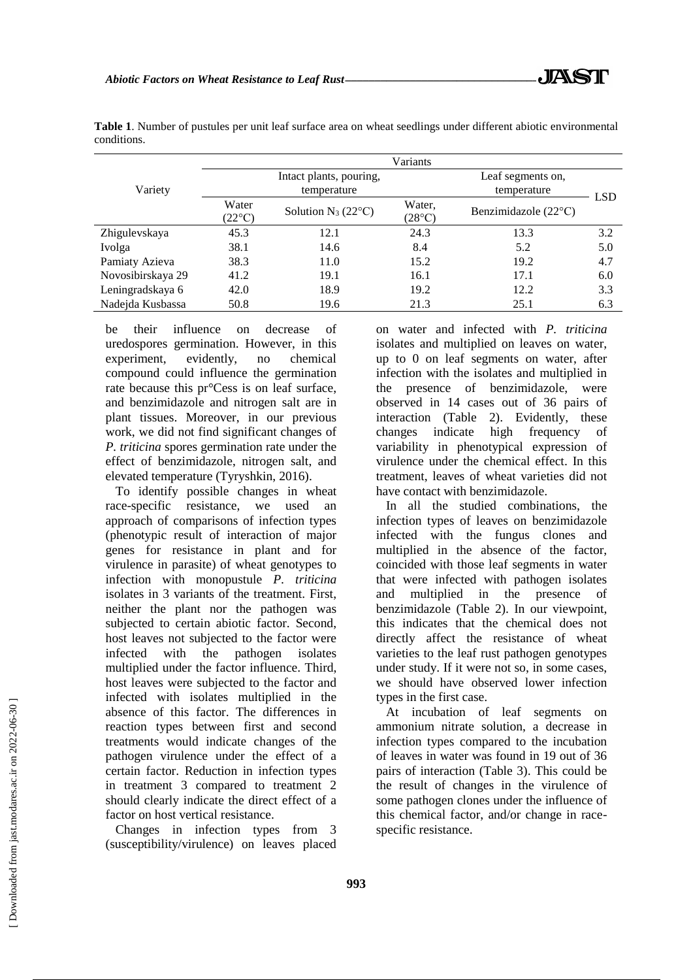|                   | Variants                 |                                        |                                  |                               |            |  |  |  |
|-------------------|--------------------------|----------------------------------------|----------------------------------|-------------------------------|------------|--|--|--|
| Variety           |                          | Intact plants, pouring,<br>temperature | Leaf segments on,<br>temperature |                               |            |  |  |  |
|                   | Water<br>$(22^{\circ}C)$ | Solution $N_3$ (22 $\degree$ C)        | Water,<br>(28°C)                 | Benzimidazole $(22^{\circ}C)$ | <b>LSD</b> |  |  |  |
| Zhigulevskaya     | 45.3                     | 12.1                                   | 24.3                             | 13.3                          | 3.2        |  |  |  |
| Ivolga            | 38.1                     | 14.6                                   | 8.4                              | 5.2                           | 5.0        |  |  |  |
| Pamiaty Azieva    | 38.3                     | 11.0                                   | 15.2                             | 19.2                          | 4.7        |  |  |  |
| Novosibirskaya 29 | 41.2                     | 19.1                                   | 16.1                             | 17.1                          | 6.0        |  |  |  |
| Leningradskaya 6  | 42.0                     | 18.9                                   | 19.2                             | 12.2                          | 3.3        |  |  |  |
| Nadejda Kusbassa  | 50.8                     | 19.6                                   | 21.3                             | 25.1                          | 6.3        |  |  |  |

**Table 1**. Number of pustules per unit leaf surface area on wheat seedlings under different abiotic environmental conditions.

be their influence on decrease of uredospores germination. However, in this experiment, evidently, no chemical compound could influence the germination rate because this pr°Cess is on leaf surface, and benzimidazole and nitrogen salt are in plant tissues. Moreover, in our previous work, we did not find significant changes of *P. triticina* spores germination rate under the effect of benzimidazole, nitrogen salt, and elevated temperature (Tyryshkin, 2016).

To identify possible changes in wheat race-specific resistance, we used an approach of comparisons of infection types (phenotypic result of interaction of major genes for resistance in plant and for virulence in parasite) of wheat genotypes to infection with monopustule *P. triticina* isolates in 3 variants of the treatment. First, neither the plant nor the pathogen was subjected to certain abiotic factor. Second, host leaves not subjected to the factor were infected with the pathogen isolates multiplied under the factor influence. Third, host leaves were subjected to the factor and infected with isolates multiplied in the absence of this factor. The differences in reaction types between first and second treatments would indicate changes of the pathogen virulence under the effect of a certain factor. Reduction in infection types in treatment 3 compared to treatment 2 should clearly indicate the direct effect of a factor on host vertical resistance.

Changes in infection types from 3 (susceptibility/virulence) on leaves placed on water and infected with *P. triticina* isolates and multiplied on leaves on water, up to 0 on leaf segments on water, after infection with the isolates and multiplied in the presence of benzimidazole, were observed in 14 cases out of 36 pairs of interaction (Table 2). Evidently, these changes indicate high frequency of variability in phenotypical expression of virulence under the chemical effect. In this treatment, leaves of wheat varieties did not have contact with benzimidazole.

In all the studied combinations, the infection types of leaves on benzimidazole infected with the fungus clones and multiplied in the absence of the factor, coincided with those leaf segments in water that were infected with pathogen isolates and multiplied in the presence of benzimidazole (Table 2). In our viewpoint, this indicates that the chemical does not directly affect the resistance of wheat varieties to the leaf rust pathogen genotypes under study. If it were not so, in some cases, we should have observed lower infection types in the first case.

At incubation of leaf segments on ammonium nitrate solution, a decrease in infection types compared to the incubation of leaves in water was found in 19 out of 36 pairs of interaction (Table 3). This could be the result of changes in the virulence of some pathogen clones under the influence of this chemical factor, and/or change in racespecific resistance.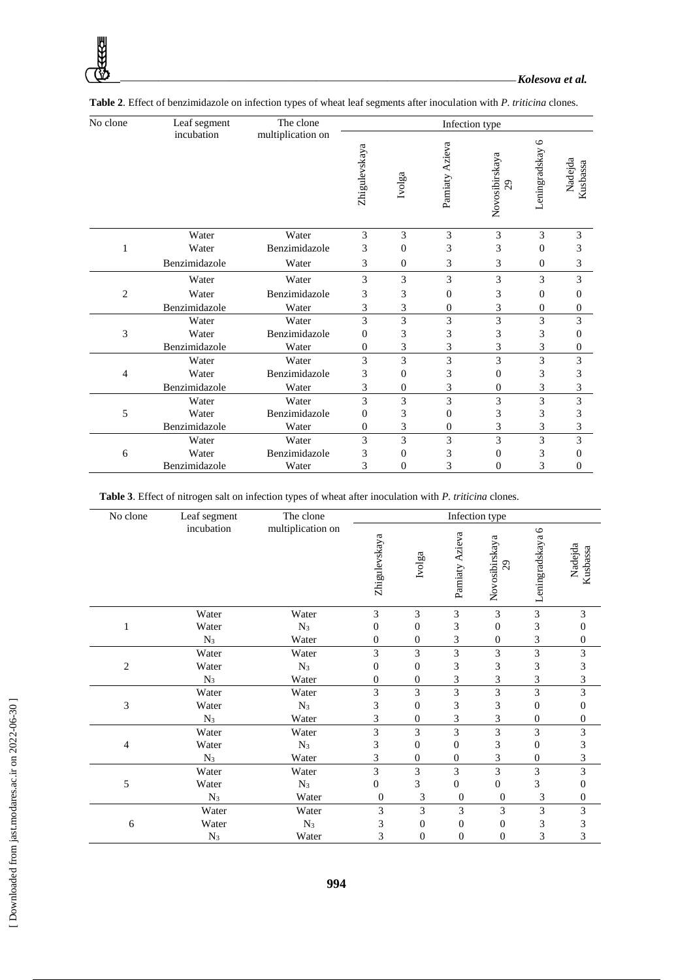| No clone       | Leaf segment  | The clone         | Infection type |                  |                |                                  |                          |                     |  |
|----------------|---------------|-------------------|----------------|------------------|----------------|----------------------------------|--------------------------|---------------------|--|
|                | incubation    | multiplication on | Zhigulevskaya  | Ivolga           | Pamiaty Azieva | Novosibirskaya<br>$\overline{c}$ | $\circ$<br>Leningradskay | Nadejda<br>Kusbassa |  |
|                | Water         | Water             | 3              | 3                | 3              | 3                                | 3                        | 3                   |  |
| 1              | Water         | Benzimidazole     | 3              | $\mathbf{0}$     | 3              | 3                                | $\mathbf{0}$             | 3                   |  |
|                | Benzimidazole | Water             | 3              | $\mathbf{0}$     | 3              | 3                                | $\theta$                 | 3                   |  |
|                | Water         | Water             | 3              | 3                | 3              | 3                                | 3                        | 3                   |  |
| $\overline{c}$ | Water         | Benzimidazole     | 3              | 3                | $\theta$       | 3                                | $\mathbf{0}$             | $\mathbf{0}$        |  |
|                | Benzimidazole | Water             | 3              | 3                | $\mathbf{0}$   | 3                                | $\theta$                 | $\mathbf{0}$        |  |
|                | Water         | Water             | 3              | 3                | 3              | 3                                | 3                        | 3                   |  |
| 3              | Water         | Benzimidazole     | 0              | 3                | 3              | 3                                | 3                        | $\mathbf{0}$        |  |
|                | Benzimidazole | Water             | $\mathbf{0}$   | 3                | 3              | 3                                | 3                        | $\mathbf{0}$        |  |
|                | Water         | Water             | 3              | 3                | 3              | 3                                | 3                        | 3                   |  |
| 4              | Water         | Benzimidazole     | 3              | $\boldsymbol{0}$ | 3              | $\overline{0}$                   | 3                        | 3                   |  |
|                | Benzimidazole | Water             | 3              | $\mathbf{0}$     | 3              | $\overline{0}$                   | 3                        | 3                   |  |
|                | Water         | Water             | 3              | 3                | 3              | 3                                | 3                        | 3                   |  |
| 5              | Water         | Benzimidazole     | $\Omega$       | 3                | $\Omega$       | 3                                | 3                        | 3                   |  |
|                | Benzimidazole | Water             | $\Omega$       | 3                | $\mathbf{0}$   | 3                                | 3                        | 3                   |  |
|                | Water         | Water             | 3              | 3                | 3              | 3                                | 3                        | 3                   |  |
| 6              | Water         | Benzimidazole     | 3              | $\mathbf{0}$     | 3              | $\theta$                         | 3                        | $\mathbf{0}$        |  |
|                | Benzimidazole | Water             | 3              | $\overline{0}$   | 3              | $\overline{0}$                   | 3                        | $\mathbf{0}$        |  |

| Table 2. Effect of benzimidazole on infection types of wheat leaf segments after inoculation with P. triticina clones. |  |  |
|------------------------------------------------------------------------------------------------------------------------|--|--|
|------------------------------------------------------------------------------------------------------------------------|--|--|

**Table 3**. Effect of nitrogen salt on infection types of wheat after inoculation with *P. triticina* clones.

| No clone       | Leaf segment | The clone         | Infection type   |                             |                  |                      |                  |                     |  |
|----------------|--------------|-------------------|------------------|-----------------------------|------------------|----------------------|------------------|---------------------|--|
|                | incubation   | multiplication on | Zhigulevskaya    | Ivolga                      | Pamiaty Azieva   | Novosibirskaya<br>29 | Leningradskaya 6 | Nadejda<br>Kusbassa |  |
|                | Water        | Water             | 3                | 3                           | $\mathfrak{Z}$   | 3                    | 3                | 3                   |  |
| 1              | Water        | $N_3$             | $\boldsymbol{0}$ | $\boldsymbol{0}$            | 3                | $\boldsymbol{0}$     | 3                | 0                   |  |
|                | $N_3$        | Water             | $\theta$         | $\overline{0}$              | 3                | $\theta$             | 3                | $\boldsymbol{0}$    |  |
|                | Water        | Water             | 3                | 3                           | 3                | 3                    | 3                | 3                   |  |
| $\overline{2}$ | Water        | $N_3$             | $\boldsymbol{0}$ | $\boldsymbol{0}$            | 3                | 3                    | 3                | 3                   |  |
|                | $N_3$        | Water             | $\mathbf{0}$     | $\mathbf{0}$                | 3                | 3                    | 3                | 3                   |  |
|                | Water        | Water             | 3                | 3                           | 3                | 3                    | 3                | 3                   |  |
| 3              | Water        | $N_3$             | 3                | $\boldsymbol{0}$            | 3                | 3                    | $\boldsymbol{0}$ | $\boldsymbol{0}$    |  |
|                | $N_3$        | Water             | 3                | $\boldsymbol{0}$            | 3                | 3                    | $\mathbf{0}$     | $\boldsymbol{0}$    |  |
|                | Water        | Water             | 3                | 3                           | 3                | 3                    | 3                | 3                   |  |
| 4              | Water        | $N_3$             | 3                | $\boldsymbol{0}$            | $\boldsymbol{0}$ | 3                    | $\boldsymbol{0}$ | 3                   |  |
|                | $N_3$        | Water             | 3                | $\boldsymbol{0}$            | $\boldsymbol{0}$ | 3                    | $\boldsymbol{0}$ | 3                   |  |
|                | Water        | Water             | 3                | 3                           | 3                | 3                    | 3                | 3                   |  |
| 5              | Water        | $N_3$             | $\overline{0}$   | 3                           | $\overline{0}$   | $\mathbf{0}$         | 3                | 0                   |  |
|                | $N_3$        | Water             | $\boldsymbol{0}$ | $\ensuremath{\mathfrak{Z}}$ | $\mathbf{0}$     | $\mathbf{0}$         | 3                | $\boldsymbol{0}$    |  |
| 6              | Water        | Water             | 3                | 3                           | 3                | 3                    | 3                | 3                   |  |
|                | Water        | $N_3$             | 3                | $\boldsymbol{0}$            | $\boldsymbol{0}$ | $\boldsymbol{0}$     | 3                | 3                   |  |
|                | $N_3$        | Water             | 3                | $\overline{0}$              | $\overline{0}$   | $\overline{0}$       | 3                | 3                   |  |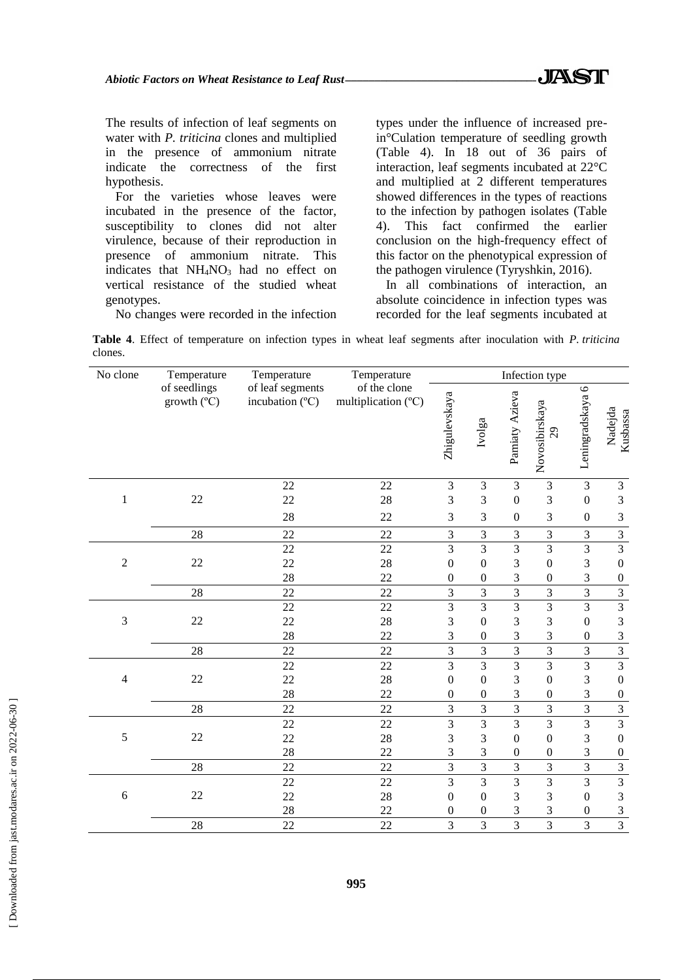The results of infection of leaf segments on water with *P. triticina* clones and multiplied in the presence of ammonium nitrate indicate the correctness of the first hypothesis.

For the varieties whose leaves were incubated in the presence of the factor, susceptibility to clones did not alter virulence, because of their reproduction in presence of ammonium nitrate. This indicates that NH<sub>4</sub>NO<sub>3</sub> had no effect on vertical resistance of the studied wheat genotypes.

No changes were recorded in the infection

types under the influence of increased prein°Culation temperature of seedling growth (Table 4). In 18 out of 36 pairs of interaction, leaf segments incubated at 22°C and multiplied at 2 different temperatures showed differences in the types of reactions to the infection by pathogen isolates (Table 4). This fact confirmed the earlier conclusion on the high-frequency effect of this factor on the phenotypical expression of the pathogen virulence (Tyryshkin, 2016).

In all combinations of interaction, an absolute coincidence in infection types was recorded for the leaf segments incubated at

**Table 4**. Effect of temperature on infection types in wheat leaf segments after inoculation with *P. triticina*  clones.

| No clone       | Temperature                                                                 | Temperature | Temperature                         | Infection type   |                  |                  |                                               |                           |                         |
|----------------|-----------------------------------------------------------------------------|-------------|-------------------------------------|------------------|------------------|------------------|-----------------------------------------------|---------------------------|-------------------------|
|                | of seedlings<br>of leaf segments<br>incubation (°C)<br>growth $(^{\circ}C)$ |             | of the clone<br>multiplication (°C) | Zhigulevskaya    | Ivolga           | Pamiaty Azieva   | Novosibirskaya<br>$\mathcal{Q}^{\mathcal{O}}$ | $\circ$<br>Leningradskaya | Nadejda<br>Kusbassa     |
|                |                                                                             | 22          | 22                                  | $\mathfrak{Z}$   | $\mathfrak{Z}$   | 3                | $\mathfrak{Z}$                                | 3                         | 3                       |
| $\mathbf{1}$   | 22                                                                          | 22          | 28                                  | 3                | 3                | $\boldsymbol{0}$ | 3                                             | $\boldsymbol{0}$          | 3                       |
|                |                                                                             | 28          | 22                                  | 3                | 3                | $\boldsymbol{0}$ | 3                                             | $\boldsymbol{0}$          | 3                       |
|                | 28                                                                          | 22          | 22                                  | 3                | $\mathfrak{Z}$   | 3                | $\overline{3}$                                | 3                         | $\overline{3}$          |
|                |                                                                             | 22          | 22                                  | $\mathfrak{Z}$   | $\overline{3}$   | 3                | $\overline{3}$                                | $\overline{\mathbf{3}}$   | $\overline{3}$          |
| $\sqrt{2}$     | 22                                                                          | 22          | 28                                  | $\boldsymbol{0}$ | $\boldsymbol{0}$ | 3                | $\mathbf{0}$                                  | 3                         | $\boldsymbol{0}$        |
|                |                                                                             | 28          | 22                                  | $\boldsymbol{0}$ | $\boldsymbol{0}$ | 3                | $\boldsymbol{0}$                              | 3                         | $\overline{0}$          |
|                | 28                                                                          | 22          | 22                                  | $\mathfrak{Z}$   | $\overline{3}$   | $\overline{3}$   | $\mathfrak{Z}$                                | $\overline{3}$            | $\overline{3}$          |
|                |                                                                             | 22          | 22                                  | $\overline{3}$   | $\overline{3}$   | $\overline{3}$   | $\overline{3}$                                | $\overline{3}$            | $\overline{3}$          |
| 3              | 22                                                                          | 22          | 28                                  | 3                | $\boldsymbol{0}$ | 3                | 3                                             | $\boldsymbol{0}$          | $\overline{3}$          |
|                |                                                                             | 28          | 22                                  | 3                | $\boldsymbol{0}$ | 3                | 3                                             | $\boldsymbol{0}$          | $\frac{3}{3}$           |
|                | 28                                                                          | 22          | 22                                  | $\overline{3}$   | 3                | $\overline{3}$   | 3                                             | 3                         |                         |
|                |                                                                             | 22          | 22                                  | 3                | $\overline{3}$   | 3                | $\overline{3}$                                | $\overline{3}$            | $\overline{3}$          |
| $\overline{4}$ | 22                                                                          | 22          | 28                                  | $\boldsymbol{0}$ | $\boldsymbol{0}$ | 3                | $\mathbf{0}$                                  | $\overline{3}$            | $\boldsymbol{0}$        |
|                |                                                                             | 28          | 22                                  | $\boldsymbol{0}$ | $\boldsymbol{0}$ | 3                | $\boldsymbol{0}$                              | 3                         | $\boldsymbol{0}$        |
|                | 28                                                                          | 22          | 22                                  | 3                | 3                | $\overline{3}$   | 3                                             | 3                         | $\overline{\mathbf{3}}$ |
|                |                                                                             | 22          | 22                                  | $\overline{3}$   | $\overline{3}$   | $\overline{3}$   | $\overline{3}$                                | $\overline{3}$            | $\overline{3}$          |
| 5              | 22                                                                          | 22          | 28                                  | 3                | 3                | $\Omega$         | $\boldsymbol{0}$                              | 3                         | $\boldsymbol{0}$        |
|                |                                                                             | 28          | 22                                  | 3                | 3                | $\boldsymbol{0}$ | $\boldsymbol{0}$                              | 3                         | $\boldsymbol{0}$        |
|                | 28                                                                          | 22          | 22                                  | 3                | $\overline{3}$   | 3                | $\overline{3}$                                | 3                         | $\overline{3}$          |
|                |                                                                             | 22          | 22                                  | 3                | $\overline{3}$   | $\overline{3}$   | $\overline{3}$                                | $\overline{3}$            | $\overline{3}$          |
| $\sqrt{6}$     | 22                                                                          | 22          | 28                                  | $\overline{0}$   | $\boldsymbol{0}$ | 3                | 3                                             | $\boldsymbol{0}$          | 3                       |
|                |                                                                             | 28          | 22                                  | $\boldsymbol{0}$ | $\boldsymbol{0}$ | 3                | 3                                             | $\boldsymbol{0}$          | 3                       |
|                | 28                                                                          | 22          | 22                                  | $\overline{3}$   | 3                | 3                | $\overline{3}$                                | $\overline{3}$            | $\overline{3}$          |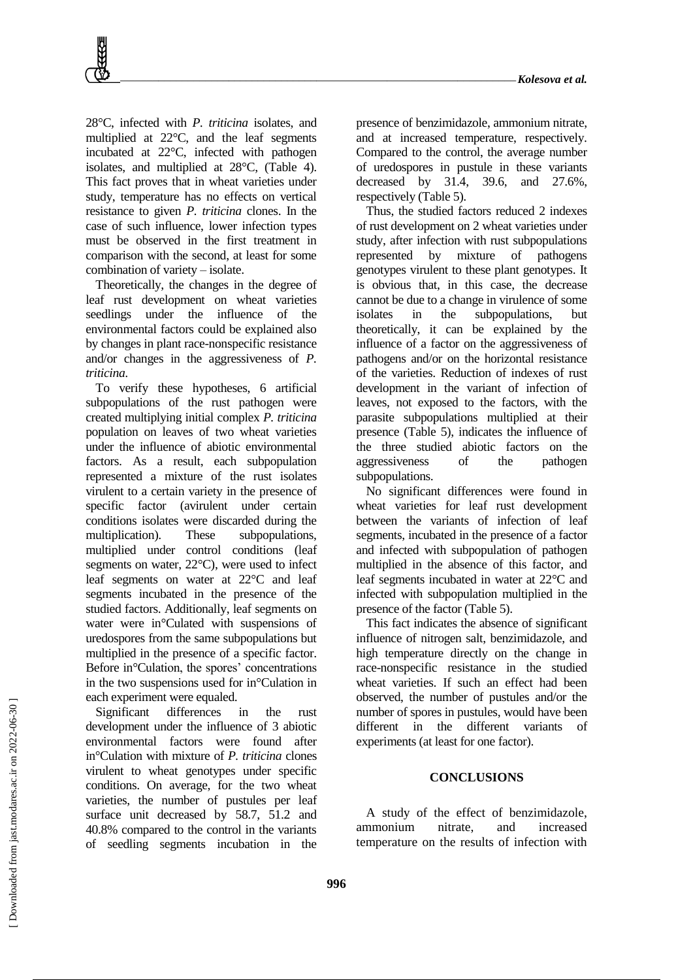28°C, infected with *P. triticina* isolates, and multiplied at 22°C, and the leaf segments incubated at 22°C, infected with pathogen isolates, and multiplied at 28°C, (Table 4). This fact proves that in wheat varieties under study, temperature has no effects on vertical resistance to given *P. triticina* clones. In the case of such influence, lower infection types must be observed in the first treatment in comparison with the second, at least for some combination of variety – isolate.

Theoretically, the changes in the degree of leaf rust development on wheat varieties seedlings under the influence of the environmental factors could be explained also by changes in plant race-nonspecific resistance and/or changes in the aggressiveness of *P. triticina*.

To verify these hypotheses, 6 artificial subpopulations of the rust pathogen were created multiplying initial complex *P. triticina* population on leaves of two wheat varieties under the influence of abiotic environmental factors. As a result, each subpopulation represented a mixture of the rust isolates virulent to a certain variety in the presence of specific factor (avirulent under certain conditions isolates were discarded during the multiplication). These subpopulations, multiplied under control conditions (leaf segments on water, 22°C), were used to infect leaf segments on water at 22°C and leaf segments incubated in the presence of the studied factors. Additionally, leaf segments on water were in°Culated with suspensions of uredospores from the same subpopulations but multiplied in the presence of a specific factor. Before in°Culation, the spores' concentrations in the two suspensions used for in°Culation in each experiment were equaled.

Significant differences in the rust development under the influence of 3 abiotic environmental factors were found after in°Culation with mixture of *P. triticina* clones virulent to wheat genotypes under specific conditions. On average, for the two wheat varieties, the number of pustules per leaf surface unit decreased by 58.7, 51.2 and 40.8% compared to the control in the variants of seedling segments incubation in the presence of benzimidazole, ammonium nitrate, and at increased temperature, respectively. Compared to the control, the average number of uredospores in pustule in these variants decreased by 31.4, 39.6, and 27.6%, respectively (Table 5).

Thus, the studied factors reduced 2 indexes of rust development on 2 wheat varieties under study, after infection with rust subpopulations represented by mixture of pathogens genotypes virulent to these plant genotypes. It is obvious that, in this case, the decrease cannot be due to a change in virulence of some isolates in the subpopulations, but theoretically, it can be explained by the influence of a factor on the aggressiveness of pathogens and/or on the horizontal resistance of the varieties. Reduction of indexes of rust development in the variant of infection of leaves, not exposed to the factors, with the parasite subpopulations multiplied at their presence (Table 5), indicates the influence of the three studied abiotic factors on the aggressiveness of the pathogen subpopulations.

No significant differences were found in wheat varieties for leaf rust development between the variants of infection of leaf segments, incubated in the presence of a factor and infected with subpopulation of pathogen multiplied in the absence of this factor, and leaf segments incubated in water at 22°C and infected with subpopulation multiplied in the presence of the factor (Table 5).

This fact indicates the absence of significant influence of nitrogen salt, benzimidazole, and high temperature directly on the change in race-nonspecific resistance in the studied wheat varieties. If such an effect had been observed, the number of pustules and/or the number of spores in pustules, would have been different in the different variants of experiments (at least for one factor).

#### **CONCLUSIONS**

A study of the effect of benzimidazole, ammonium nitrate, and increased temperature on the results of infection with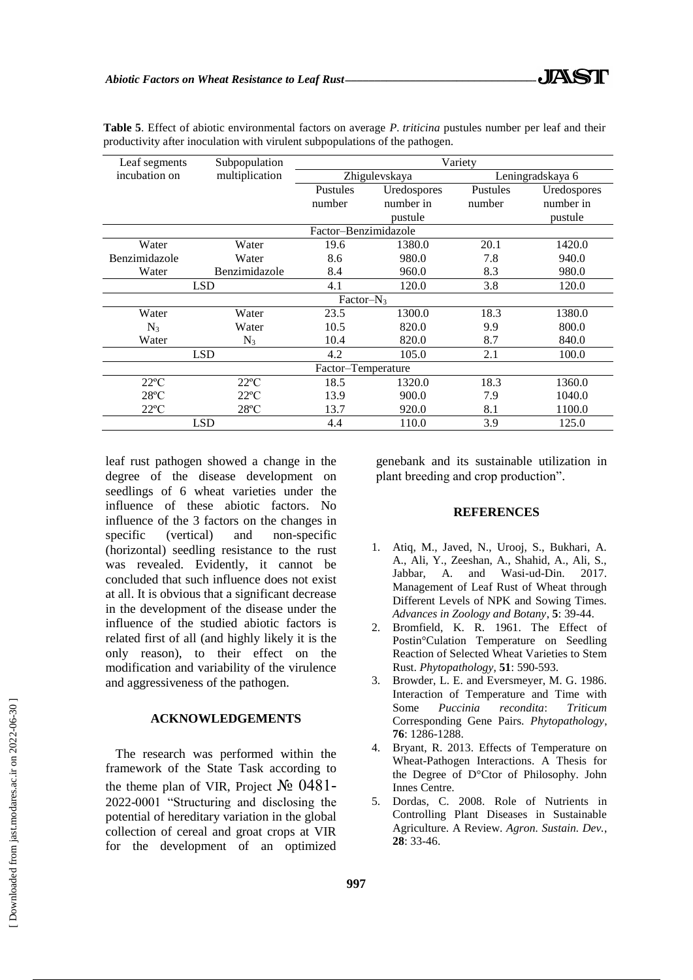| Leaf segments                  | Subpopulation  | Variety              |              |                  |             |  |  |
|--------------------------------|----------------|----------------------|--------------|------------------|-------------|--|--|
| incubation on                  | multiplication | Zhigulevskaya        |              | Leningradskaya 6 |             |  |  |
|                                |                | Pustules             | Uredospores  | Pustules         | Uredospores |  |  |
|                                |                | number               | number in    | number           | number in   |  |  |
|                                |                |                      | pustule      |                  | pustule     |  |  |
|                                |                | Factor-Benzimidazole |              |                  |             |  |  |
| Water                          | Water          | 19.6                 | 1380.0       | 20.1             | 1420.0      |  |  |
| Benzimidazole                  | Water          | 8.6                  | 980.0        | 7.8              | 940.0       |  |  |
| Water<br>Benzimidazole         |                | 8.4                  | 960.0        | 8.3              | 980.0       |  |  |
| <b>LSD</b>                     |                | 4.1                  | 120.0        | 3.8              | 120.0       |  |  |
|                                |                | Factor- $N_3$        |              |                  |             |  |  |
| Water                          | Water          | 23.5                 | 1300.0       | 18.3             | 1380.0      |  |  |
| $N_3$                          | Water          | 10.5                 | 820.0<br>9.9 |                  | 800.0       |  |  |
| Water<br>$N_3$                 |                | 10.4                 | 820.0        | 8.7              | 840.0       |  |  |
| <b>LSD</b>                     |                | 4.2                  | 2.1<br>105.0 |                  | 100.0       |  |  |
| Factor-Temperature             |                |                      |              |                  |             |  |  |
| $22^{\circ}C$                  | $22^{\circ}C$  | 18.5                 | 1320.0       | 18.3             | 1360.0      |  |  |
| $28^{\circ}$ C                 | $22^{\circ}C$  | 13.9                 | 900.0        | 7.9              | 1040.0      |  |  |
| $22^{\circ}C$<br>$28^{\circ}C$ |                | 13.7                 | 920.0        | 8.1              | 1100.0      |  |  |
|                                | <b>LSD</b>     | 4.4                  | 110.0        | 3.9              | 125.0       |  |  |

**Table 5**. Effect of abiotic environmental factors on average *P. triticina* pustules number per leaf and their productivity after inoculation with virulent subpopulations of the pathogen.

leaf rust pathogen showed a change in the degree of the disease development on seedlings of 6 wheat varieties under the influence of these abiotic factors. No influence of the 3 factors on the changes in specific (vertical) and non-specific (horizontal) seedling resistance to the rust was revealed. Evidently, it cannot be concluded that such influence does not exist at all. It is obvious that a significant decrease in the development of the disease under the influence of the studied abiotic factors is related first of all (and highly likely it is the only reason), to their effect on the modification and variability of the virulence and aggressiveness of the pathogen.

#### **ACKNOWLEDGEMENTS**

The research was performed within the framework of the State Task according to the theme plan of VIR, Project  $\mathcal{N}$ <sup>o</sup> 0481-2022-0001 "Structuring and disclosing the potential of hereditary variation in the global collection of cereal and groat crops at VIR for the development of an optimized genebank and its sustainable utilization in plant breeding and crop production".

#### **REFERENCES**

- 1. Atiq, M., Javed, N., Urooj, S., Bukhari, A. A., Ali, Y., Zeeshan, A., Shahid, A., Ali, S., Jabbar, A. and Wasi-ud-Din. 2017. Management of Leaf Rust of Wheat through Different Levels of NPK and Sowing Times. *Advances in Zoology and Botany*, **5**: 39-44.
- 2. Bromfield, K. R. 1961. The Effect of Postin°Culation Temperature on Seedling Reaction of Selected Wheat Varieties to Stem Rust. *Phytopathology*, **51**: 590-593.
- 3. Browder, L. E. and Eversmeyer, M. G. 1986. Interaction of Temperature and Time with Some *Puccinia recondita*: *Triticum* Corresponding Gene Pairs. *Phytopathology*, **76**: 1286-1288.
- 4. Bryant, R. 2013. Effects of Temperature on Wheat-Pathogen Interactions. A Thesis for the Degree of D°Ctor of Philosophy. John Innes Centre.
- 5. Dordas, C. 2008. Role of Nutrients in Controlling Plant Diseases in Sustainable Agriculture. A Review. *Agron. Sustain. Dev.*, **28**: 33-46.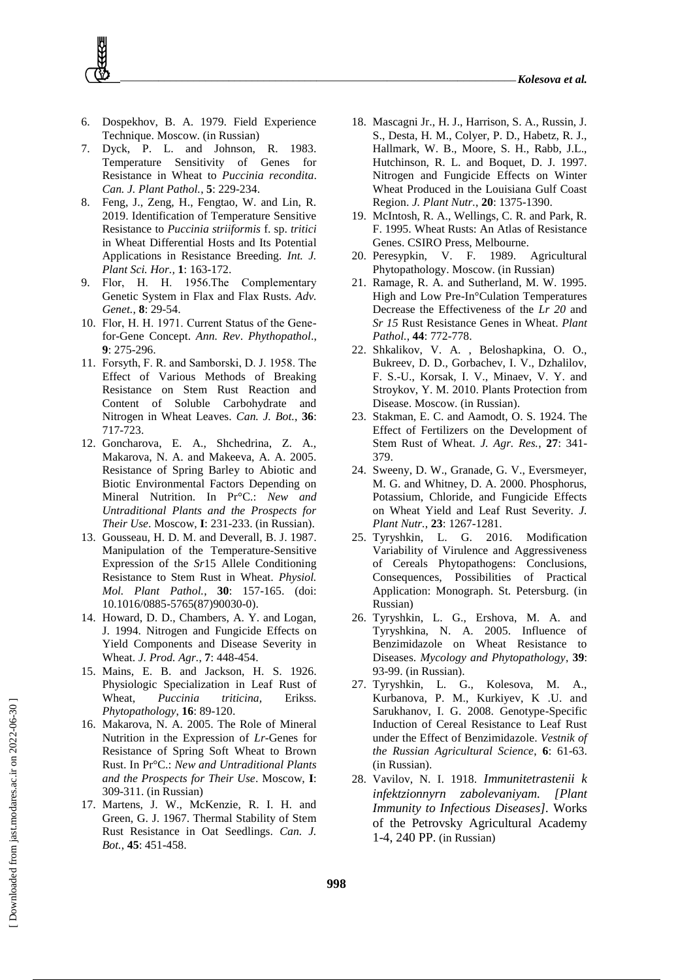- 6. Dospekhov, B. A. 1979. Field Experience Technique. Moscow. (in Russian)
- 7. Dyck, P. L. and Johnson, R. 1983. Temperature Sensitivity of Genes for Resistance in Wheat to *Puccinia recondita*. *Can. J. Plant Pathol.*, **5**: 229-234.
- 8. Feng, J., Zeng, H., Fengtao, W. and Lin, R. 2019. Identification of Temperature Sensitive Resistance to *Puccinia striiformis* f. sp. *tritici* in Wheat Differential Hosts and Its Potential Applications in Resistance Breeding*. Int. J. Plant Sci. Hor.,* **1**: 163-172.
- 9. Flor, Н. H. 1956.The Complementary Genetic System in Flax and Flax Rusts. *Adv. Genet.*, **8**: 29-54.
- 10. Flor, Н. H. 1971. Current Status of the Genefor-Gene Concept. *Ann. Rev*. *Phythopathol*., **9**: 275-296.
- 11. Forsуth, F. R. and Samborski, D. J. 1958. The Effect of Various Methods of Breaking Resistance on Stem Rust Reaction and Content of Soluble Carbohydrate and Nitrogen in Wheat Leaves. *Can. J. Bot.*, **36**: 717-723.
- 12. Goncharova, E. A., Shchedrina, Z. A., Makarova, N. A. and Makeeva, A. A. 2005. Resistance of Spring Barley to Abiotic and Biotic Environmental Factors Depending on Mineral Nutrition. In Pr°C.: *New and Untraditional Plants and the Prospects for Their Use*. Moscow, **I**: 231-233. (in Russian).
- 13. Gousseau, H. D. M. and Deverall, B. J. 1987. Manipulation of the Temperature-Sensitive Expression of the *Sr*15 Allele Conditioning Resistance to Stem Rust in Wheat. *Physiol. Mol. Plant Pathol.*, **30**: 157-165. (doi: 10.1016/0885-5765(87)90030-0).
- 14. Howard, D. D., Chambers, A. Y. and Logan, J. 1994. Nitrogen and Fungicide Effects on Yield Components and Disease Severity in Wheat. *J. Prod. Agr.*, **7**: 448-454.
- 15. Mains, E. B. and Jackson, H. S. 1926. Physiologic Specialization in Leaf Rust of Wheat, *Puccinia triticina,* Erikss. *Phytopathology*, **16**: 89-120.
- 16. Makarova, N. A. 2005. The Role of Mineral Nutrition in the Expression of *Lr-*Genes for Resistance of Spring Soft Wheat to Brown Rust. In Pr°C.: *New and Untraditional Plants and the Prospects for Their Use*. Moscow, **I**: 309-311. (in Russian)
- 17. Martens, J. W., McKenzie, R. I. H. and Green, G. J. 1967. Thermal Stability of Stem Rust Resistance in Oat Seedlings. *Can. J. Bot.*, **45**: 451-458.
- 18. Mascagni Jr., H. J., Harrison, S. A., Russin, J. S., Desta, H. M., Colyer, P. D., Habetz, R. J., Hallmark, W. B., Moore, S. H., Rabb, J.L., Hutchinson, R. L. and Boquet, D. J. 1997. Nitrogen and Fungicide Effects on Winter Wheat Produced in the Louisiana Gulf Coast Region. *J. Plant Nutr.*, **20**: 1375-1390.
- 19. McIntosh, R. A., Wellings, C. R. and Park, R. F. 1995. Wheat Rusts: An Atlas of Resistance Genes. CSIRO Press, Melbourne.
- 20. Peresypkin, V. F. 1989. Agricultural Phytopathology. Moscow. (in Russian)
- 21. Ramage, R. A. and Sutherland, M. W. 1995. High and Low Pre-In°Culation Temperatures Decrease the Effectiveness of the *Lr 20* and *Sr 15* Rust Resistance Genes in Wheat. *Plant Pathol.*, **44**: 772-778.
- 22. Shkalikov, V. A. , Beloshapkina, O. O., Bukreev, D. D., Gorbachev, I. V., Dzhalilov, F. S.-U., Korsak, I. V., Minaev, V. Y. and Stroykov, Y. M. 2010. Plants Protection from Disease. Moscow. (in Russian).
- 23. Stakman, E. C. and Aamodt, O. S. 1924. The Effect of Fertilizers on the Development of Stem Rust of Wheat. *J. Agr. Res.*, **27**: 341- 379.
- 24. Sweeny, D. W., Granade, G. V., Eversmeyer, M. G. and Whitney, D. A. 2000. Phosphorus, Potassium, Chloride, and Fungicide Effects on Wheat Yield and Leaf Rust Severity. *J. Plant Nutr.*, **23**: 1267-1281.
- 25. Tyryshkin, L. G. 2016. Modification Variability of Virulence and Aggressiveness of Cereals Phytopathogens: Conclusions, Consequences, Possibilities of Practical Application: Monograph. St. Petersburg. (in Russian)
- 26. Tyryshkin, L. G., Ershova, M. A. and Tyryshkina, N. A. 2005. Influence of Benzimidazole on Wheat Resistance to Diseases. *Mycology and Phytopathology*, **39**: 93-99. (in Russian).
- 27. Tyryshkin, L. G., Kolesova, M. A., Kurbanova, P. M., Kurkiyev, K .U. and Sarukhanov, I. G. 2008. Genotype-Specific Induction of Cereal Resistance to Leaf Rust under the Effect of Benzimidazole. *Vestnik of the Russian Agricultural Science*, **6**: 61-63. (in Russian).
- 28. Vavilov, N. I. 1918. *Immunitetrastenii k infektzionnyrn zabolevaniyam. [Plant Immunity to Infectious Diseases].* Works of the Petrovsky Agricultural Academy 1-4, 240 PP. (in Russian)

 [\[ Downloaded from jast.modares.ac.ir on 2](https://jast.modares.ac.ir/article-23-47504-en.html)022-06-30 ] Downloaded from jast.modares.ac.ir on 2022-06-30]